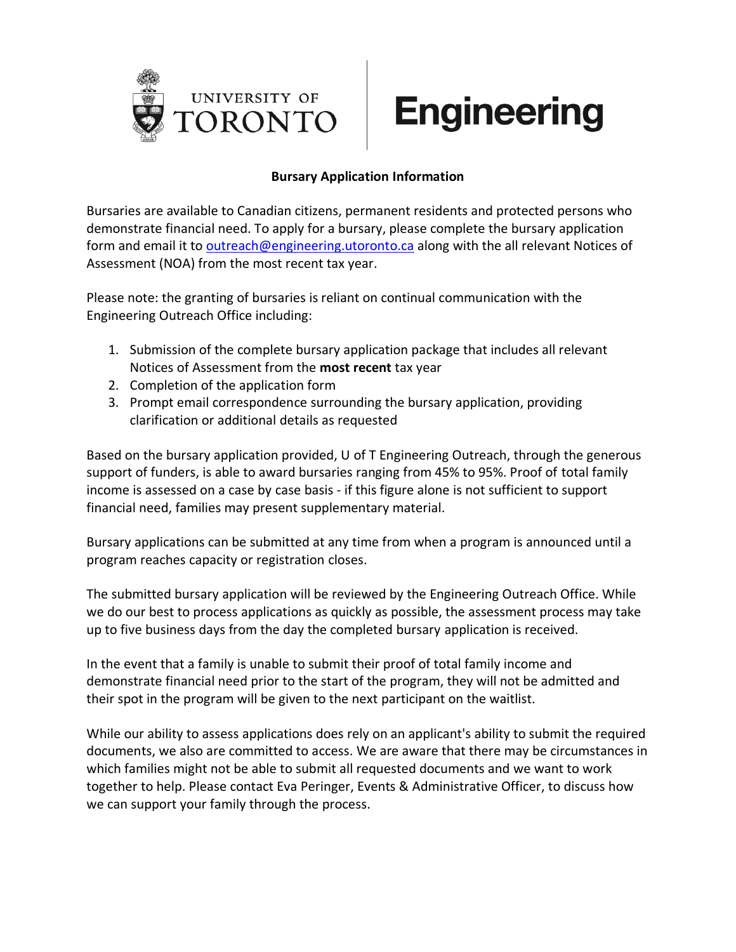

## **Bursary Application Information**

Bursaries are available to Canadian citizens, permanent residents and protected persons who demonstrate financial need. To apply for a bursary, please complete the bursary application form and email it to [outreach@engineering.utoronto.ca](mailto:outreach@engineering.utoronto.ca) along with the all relevant Notices of Assessment (NOA) from the most recent tax year.

Please note: the granting of bursaries is reliant on continual communication with the Engineering Outreach Office including:

- 1. Submission of the complete bursary application package that includes all relevant Notices of Assessment from the **most recent** tax year
- 2. Completion of the application form
- 3. Prompt email correspondence surrounding the bursary application, providing clarification or additional details as requested

Based on the bursary application provided, U of T Engineering Outreach, through the generous support of funders, is able to award bursaries ranging from 45% to 95%. Proof of total family income is assessed on a case by case basis - if this figure alone is not sufficient to support financial need, families may present supplementary material.

Bursary applications can be submitted at any time from when a program is announced until a program reaches capacity or registration closes.

The submitted bursary application will be reviewed by the Engineering Outreach Office. While we do our best to process applications as quickly as possible, the assessment process may take up to five business days from the day the completed bursary application is received.

In the event that a family is unable to submit their proof of total family income and demonstrate financial need prior to the start of the program, they will not be admitted and their spot in the program will be given to the next participant on the waitlist.

While our ability to assess applications does rely on an applicant's ability to submit the required documents, we also are committed to access. We are aware that there may be circumstances in which families might not be able to submit all requested documents and we want to work together to help. Please contact Eva Peringer, Events & Administrative Officer, to discuss how we can support your family through the process.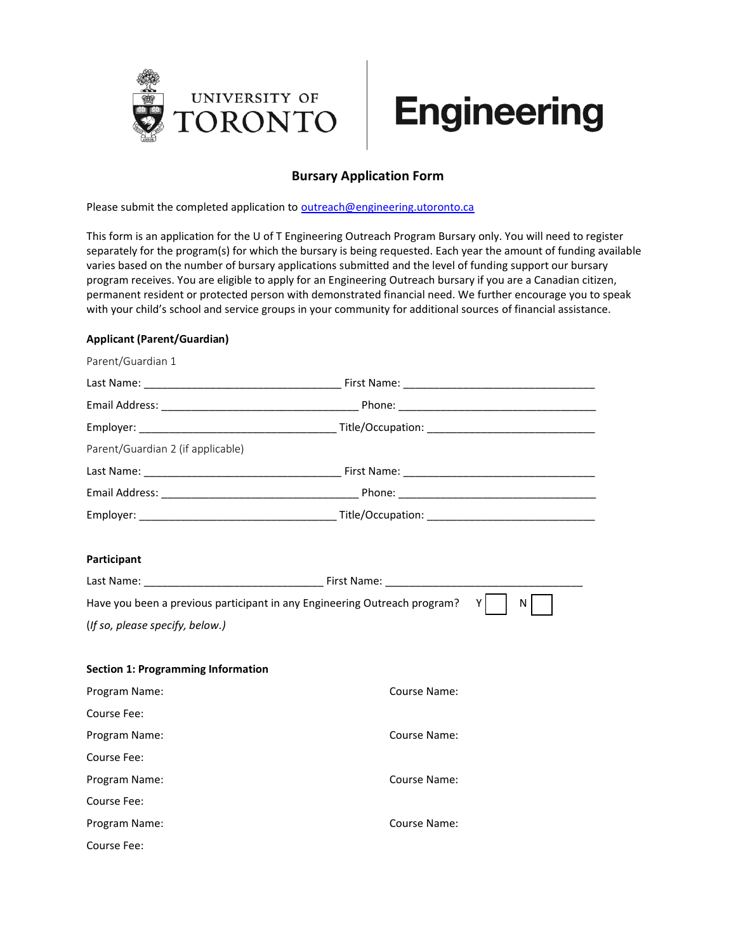

## **Bursary Application Form**

Please submit the completed application to [outreach@engineering.utoronto.ca](mailto:outreach@engineering.utoronto.ca)

This form is an application for the U of T Engineering Outreach Program Bursary only. You will need to register separately for the program(s) for which the bursary is being requested. Each year the amount of funding available varies based on the number of bursary applications submitted and the level of funding support our bursary program receives. You are eligible to apply for an Engineering Outreach bursary if you are a Canadian citizen, permanent resident or protected person with demonstrated financial need. We further encourage you to speak with your child's school and service groups in your community for additional sources of financial assistance.

#### **Applicant (Parent/Guardian)**

| Parent/Guardian 1                                                         |              |  |  |
|---------------------------------------------------------------------------|--------------|--|--|
|                                                                           |              |  |  |
|                                                                           |              |  |  |
|                                                                           |              |  |  |
| Parent/Guardian 2 (if applicable)                                         |              |  |  |
|                                                                           |              |  |  |
|                                                                           |              |  |  |
|                                                                           |              |  |  |
|                                                                           |              |  |  |
| Participant                                                               |              |  |  |
|                                                                           |              |  |  |
| Have you been a previous participant in any Engineering Outreach program? | ΥI<br>N      |  |  |
| (If so, please specify, below.)                                           |              |  |  |
|                                                                           |              |  |  |
| <b>Section 1: Programming Information</b>                                 |              |  |  |
| Program Name:                                                             | Course Name: |  |  |
| Course Fee:                                                               |              |  |  |
| Program Name:                                                             | Course Name: |  |  |
| Course Fee:                                                               |              |  |  |
| Program Name:                                                             | Course Name: |  |  |
| Course Fee:                                                               |              |  |  |
| Program Name:                                                             | Course Name: |  |  |
| Course Fee:                                                               |              |  |  |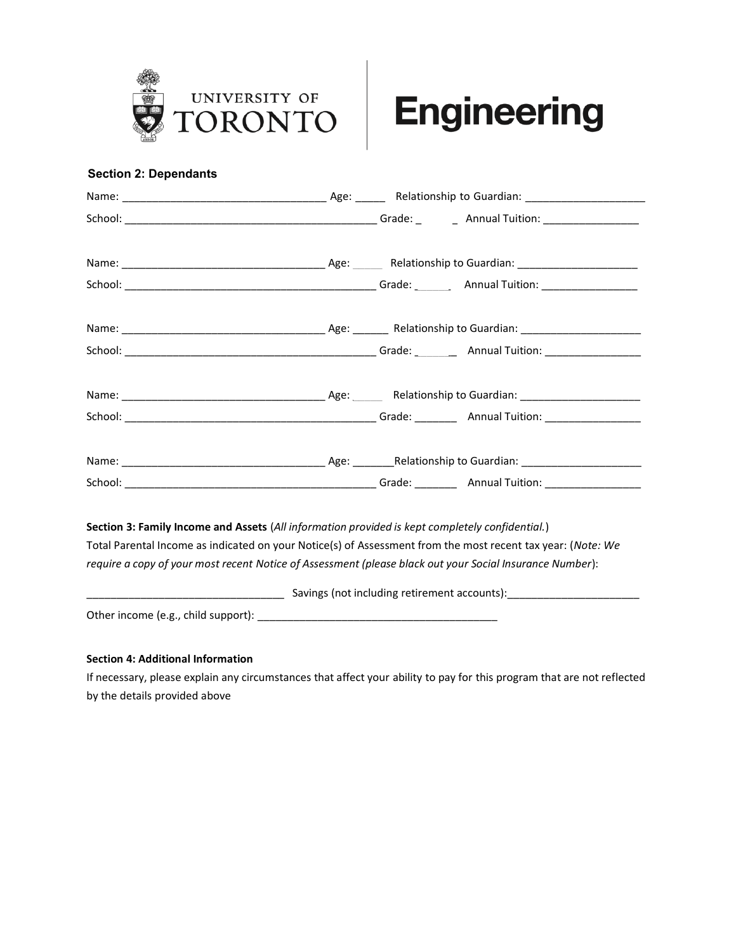

### **Section 2: Dependants**

| Section 3: Family Income and Assets (All information provided is kept completely confidential.)             |  |  |
|-------------------------------------------------------------------------------------------------------------|--|--|
| Total Parental Income as indicated on your Notice(s) of Assessment from the most recent tax year: (Note: We |  |  |
| require a copy of your most recent Notice of Assessment (please black out your Social Insurance Number):    |  |  |
|                                                                                                             |  |  |

Other income (e.g., child support): \_\_\_\_\_\_\_\_\_\_\_\_\_\_\_\_\_\_\_\_\_\_\_\_\_\_\_\_\_\_\_\_\_\_\_\_\_\_\_\_

### **Section 4: Additional Information**

If necessary, please explain any circumstances that affect your ability to pay for this program that are not reflected by the details provided above